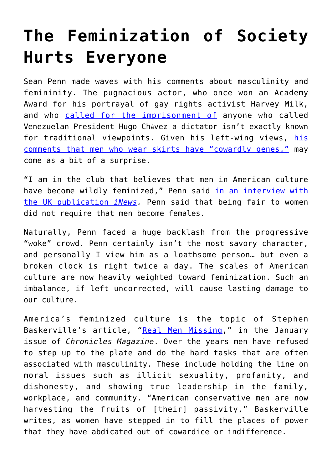## **[The Feminization of Society](https://intellectualtakeout.org/2022/02/the-feminization-of-society-hurts-everyone/) [Hurts Everyone](https://intellectualtakeout.org/2022/02/the-feminization-of-society-hurts-everyone/)**

Sean Penn made waves with his comments about masculinity and femininity. The pugnacious actor, who once won an Academy Award for his portrayal of gay rights activist Harvey Milk, and who [called for the imprisonment of](https://www.theguardian.com/world/2010/mar/11/sean-penn-hugo-chavez-venezuela) anyone who called Venezuelan President Hugo Chávez a dictator isn't exactly known for traditional viewpoints. Given his left-wing views, [his](https://www.aceshowbiz.com/news/view/00182827.html) [comments that men who wear skirts have "cowardly genes,"](https://www.aceshowbiz.com/news/view/00182827.html) may come as a bit of a surprise.

"I am in the club that believes that men in American culture have become wildly feminized," Penn said [in an interview with](https://inews.co.uk/culture/sean-penn-flag-day-film-interview-men-american-culture-feminised-1398996) [the UK publication](https://inews.co.uk/culture/sean-penn-flag-day-film-interview-men-american-culture-feminised-1398996) *[iNews](https://inews.co.uk/culture/sean-penn-flag-day-film-interview-men-american-culture-feminised-1398996).* Penn said that being fair to women did not require that men become females.

Naturally, Penn faced a huge backlash from the progressive "woke" crowd. Penn certainly isn't the most savory character, and personally I view him as a loathsome person… but even a broken clock is right twice a day. The scales of American culture are now heavily weighted toward feminization. Such an imbalance, if left uncorrected, will cause lasting damage to our culture.

America's feminized culture is the topic of Stephen Baskerville's article, "[Real Men Missing](https://www.chroniclesmagazine.org/real-men-missing/)," in the January issue of *Chronicles Magazine*. Over the years men have refused to step up to the plate and do the hard tasks that are often associated with masculinity. These include holding the line on moral issues such as illicit sexuality, profanity, and dishonesty, and showing true leadership in the family, workplace, and community. "American conservative men are now harvesting the fruits of [their] passivity," Baskerville writes, as women have stepped in to fill the places of power that they have abdicated out of cowardice or indifference.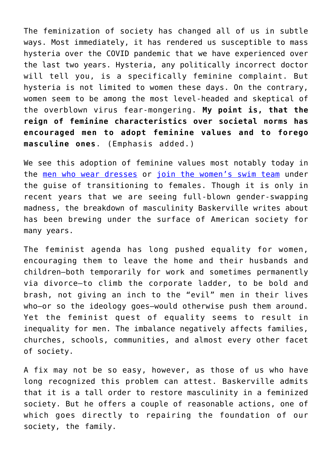The feminization of society has changed all of us in subtle ways. Most immediately, it has rendered us susceptible to mass hysteria over the COVID pandemic that we have experienced over the last two years. Hysteria, any politically incorrect doctor will tell you, is a specifically feminine complaint. But hysteria is not limited to women these days. On the contrary, women seem to be among the most level-headed and skeptical of the overblown virus fear-mongering. **My point is, that the reign of feminine characteristics over societal norms has encouraged men to adopt feminine values and to forego masculine ones**. (Emphasis added.)

We see this adoption of feminine values most notably today in the [men who wear dresses](https://www.intellectualtakeout.org/when-men-say--yes--to-the-dress/) or [join the women's swim team](https://www.chroniclesmagazine.org/real-female-athletes-unite-/1/) under the guise of transitioning to females. Though it is only in recent years that we are seeing full-blown gender-swapping madness, the breakdown of masculinity Baskerville writes about has been brewing under the surface of American society for many years.

The feminist agenda has long pushed equality for women, encouraging them to leave the home and their husbands and children—both temporarily for work and sometimes permanently via divorce—to climb the corporate ladder, to be bold and brash, not giving an inch to the "evil" men in their lives who—or so the ideology goes—would otherwise push them around. Yet the feminist quest of equality seems to result in inequality for men. The imbalance negatively affects families, churches, schools, communities, and almost every other facet of society.

A fix may not be so easy, however, as those of us who have long recognized this problem can attest. Baskerville admits that it is a tall order to restore masculinity in a feminized society. But he offers a couple of reasonable actions, one of which goes directly to repairing the foundation of our society, the family.